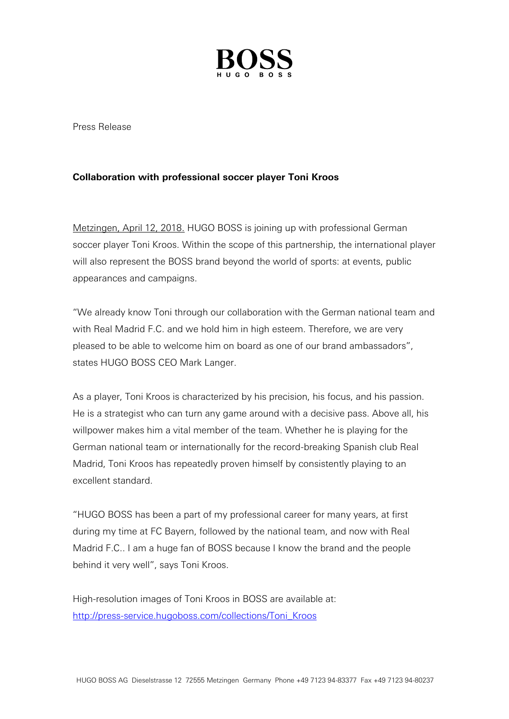

Press Release

## **Collaboration with professional soccer player Toni Kroos**

Metzingen, April 12, 2018. HUGO BOSS is joining up with professional German soccer player Toni Kroos. Within the scope of this partnership, the international player will also represent the BOSS brand beyond the world of sports: at events, public appearances and campaigns.

"We already know Toni through our collaboration with the German national team and with Real Madrid F.C. and we hold him in high esteem. Therefore, we are very pleased to be able to welcome him on board as one of our brand ambassadors", states HUGO BOSS CEO Mark Langer.

As a player, Toni Kroos is characterized by his precision, his focus, and his passion. He is a strategist who can turn any game around with a decisive pass. Above all, his willpower makes him a vital member of the team. Whether he is playing for the German national team or internationally for the record-breaking Spanish club Real Madrid, Toni Kroos has repeatedly proven himself by consistently playing to an excellent standard.

"HUGO BOSS has been a part of my professional career for many years, at first during my time at FC Bayern, followed by the national team, and now with Real Madrid F.C.. I am a huge fan of BOSS because I know the brand and the people behind it very well", says Toni Kroos.

High-resolution images of Toni Kroos in BOSS are available at: [http://press-service.hugoboss.com/collections/Toni\\_Kroos](http://press-service.hugoboss.com/collections/Toni_Kroos)